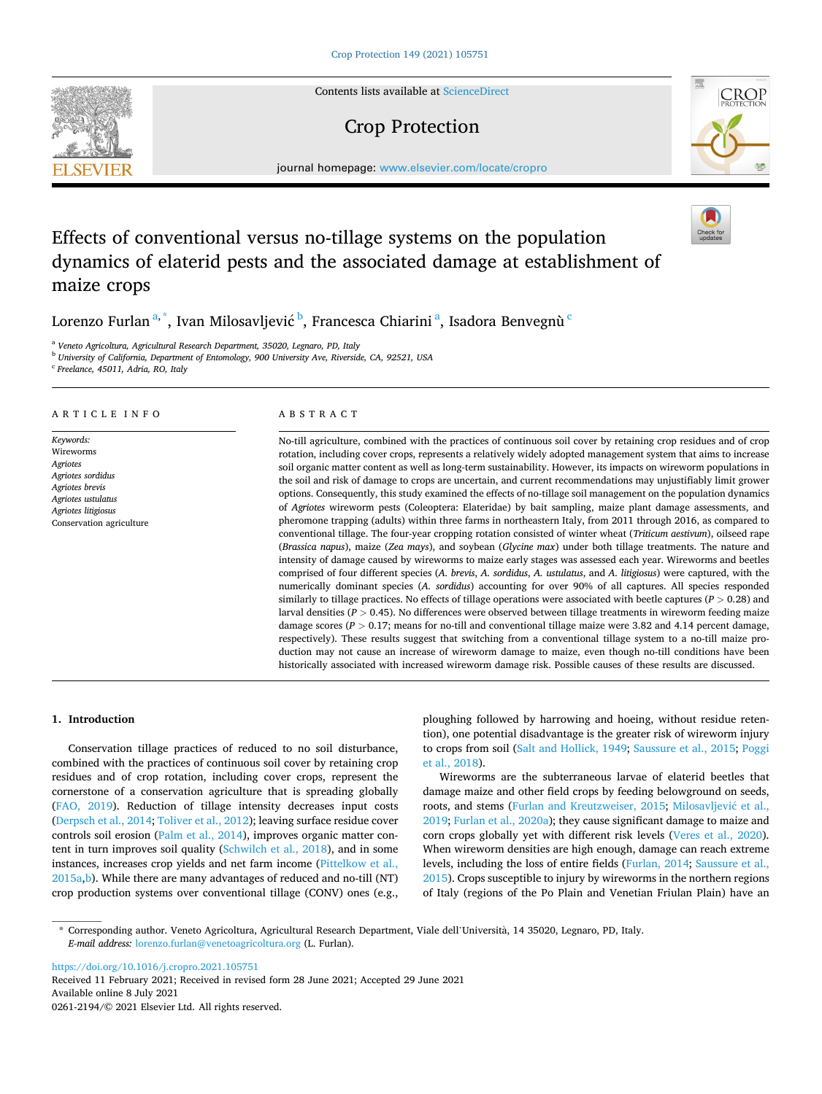Contents lists available at [ScienceDirect](www.sciencedirect.com/science/journal/02612194)

## Crop Protection

journal homepage: [www.elsevier.com/locate/cropro](https://www.elsevier.com/locate/cropro) 

# Effects of conventional versus no-tillage systems on the population dynamics of elaterid pests and the associated damage at establishment of maize crops

Lorenzo Furlan $^{\mathrm{a},\mathrm{*}},$  Ivan Milosavljević  $^{\mathrm{b}}$ , Francesca Chiarini  $^{\mathrm{a}}$ , Isadora Benvegnù  $^{\mathrm{c}}$ 

<sup>a</sup> *Veneto Agricoltura, Agricultural Research Department, 35020, Legnaro, PD, Italy* 

<sup>b</sup> *University of California, Department of Entomology, 900 University Ave, Riverside, CA, 92521, USA* 

<sup>c</sup> *Freelance, 45011, Adria, RO, Italy* 

#### ARTICLE INFO

*Keywords:*  Wireworms *Agriotes Agriotes sordidus Agriotes brevis Agriotes ustulatus Agriotes litigiosus*  Conservation agriculture

## ABSTRACT

No-till agriculture, combined with the practices of continuous soil cover by retaining crop residues and of crop rotation, including cover crops, represents a relatively widely adopted management system that aims to increase soil organic matter content as well as long-term sustainability. However, its impacts on wireworm populations in the soil and risk of damage to crops are uncertain, and current recommendations may unjustifiably limit grower options. Consequently, this study examined the effects of no-tillage soil management on the population dynamics of *Agriotes* wireworm pests (Coleoptera: Elateridae) by bait sampling, maize plant damage assessments, and pheromone trapping (adults) within three farms in northeastern Italy, from 2011 through 2016, as compared to conventional tillage. The four-year cropping rotation consisted of winter wheat (*Triticum aestivum*), oilseed rape (*Brassica napus*), maize (*Zea mays*), and soybean (*Glycine max*) under both tillage treatments. The nature and intensity of damage caused by wireworms to maize early stages was assessed each year. Wireworms and beetles comprised of four different species (*A. brevis*, *A. sordidus*, *A. ustulatus*, and *A. litigiosus*) were captured, with the numerically dominant species (*A. sordidus*) accounting for over 90% of all captures. All species responded similarly to tillage practices. No effects of tillage operations were associated with beetle captures (*P >* 0.28) and larval densities (*P >* 0.45). No differences were observed between tillage treatments in wireworm feeding maize damage scores ( $P > 0.17$ ; means for no-till and conventional tillage maize were 3.82 and 4.14 percent damage, respectively). These results suggest that switching from a conventional tillage system to a no-till maize production may not cause an increase of wireworm damage to maize, even though no-till conditions have been historically associated with increased wireworm damage risk. Possible causes of these results are discussed.

## **1. Introduction**

Conservation tillage practices of reduced to no soil disturbance, combined with the practices of continuous soil cover by retaining crop residues and of crop rotation, including cover crops, represent the cornerstone of a conservation agriculture that is spreading globally ([FAO, 2019\)](#page-6-0). Reduction of tillage intensity decreases input costs ([Derpsch et al., 2014](#page-6-0); [Toliver et al., 2012](#page-7-0)); leaving surface residue cover controls soil erosion ([Palm et al., 2014\)](#page-6-0), improves organic matter content in turn improves soil quality ([Schwilch et al., 2018](#page-7-0)), and in some instances, increases crop yields and net farm income [\(Pittelkow et al.,](#page-6-0)  [2015a,b](#page-6-0)). While there are many advantages of reduced and no-till (NT) crop production systems over conventional tillage (CONV) ones (e.g.,

ploughing followed by harrowing and hoeing, without residue retention), one potential disadvantage is the greater risk of wireworm injury to crops from soil ([Salt and Hollick, 1949; Saussure et al., 2015](#page-7-0); [Poggi](#page-6-0)  [et al., 2018\)](#page-6-0).

Wireworms are the subterraneous larvae of elaterid beetles that damage maize and other field crops by feeding belowground on seeds, roots, and stems [\(Furlan and Kreutzweiser, 2015](#page-6-0); [Milosavljevi](#page-6-0)ć et al., [2019; Furlan et al., 2020a\)](#page-6-0); they cause significant damage to maize and corn crops globally yet with different risk levels ([Veres et al., 2020](#page-7-0)). When wireworm densities are high enough, damage can reach extreme levels, including the loss of entire fields ([Furlan, 2014;](#page-6-0) [Saussure et al.,](#page-7-0)  [2015\)](#page-7-0). Crops susceptible to injury by wireworms in the northern regions of Italy (regions of the Po Plain and Venetian Friulan Plain) have an

\* Corresponding author. Veneto Agricoltura, Agricultural Research Department, Viale dell'Universita, ` 14 35020, Legnaro, PD, Italy. *E-mail address:* [lorenzo.furlan@venetoagricoltura.org](mailto:lorenzo.furlan@venetoagricoltura.org) (L. Furlan).

<https://doi.org/10.1016/j.cropro.2021.105751>

Available online 8 July 2021 0261-2194/© 2021 Elsevier Ltd. All rights reserved. Received 11 February 2021; Received in revised form 28 June 2021; Accepted 29 June 2021





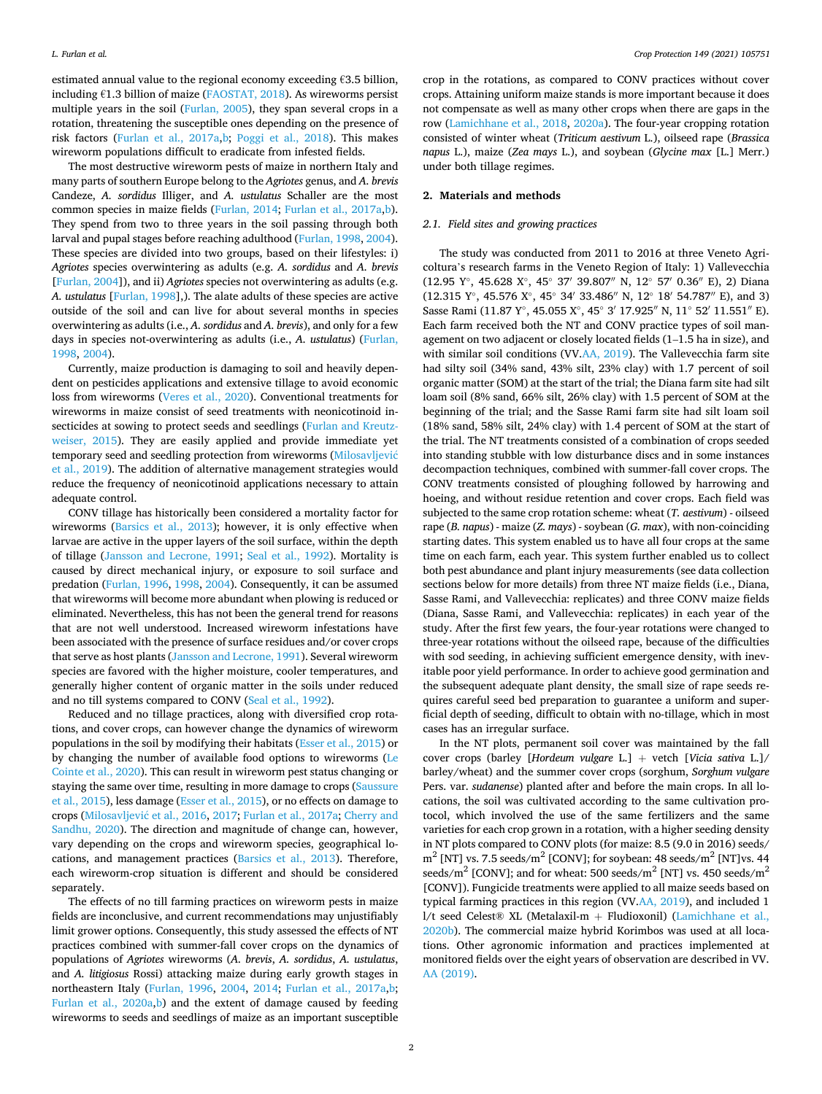estimated annual value to the regional economy exceeding  $€3.5$  billion, including  $£1.3$  billion of maize ( $FAOSTAT$ , 2018). As wireworms persist multiple years in the soil ([Furlan, 2005\)](#page-6-0), they span several crops in a rotation, threatening the susceptible ones depending on the presence of risk factors [\(Furlan et al., 2017a,b;](#page-6-0) [Poggi et al., 2018\)](#page-6-0). This makes wireworm populations difficult to eradicate from infested fields.

The most destructive wireworm pests of maize in northern Italy and many parts of southern Europe belong to the *Agriotes* genus, and *A. brevis*  Candeze, *A. sordidus* Illiger, and *A. ustulatus* Schaller are the most common species in maize fields ([Furlan, 2014; Furlan et al., 2017a,b](#page-6-0)). They spend from two to three years in the soil passing through both larval and pupal stages before reaching adulthood ([Furlan, 1998](#page-6-0), [2004](#page-6-0)). These species are divided into two groups, based on their lifestyles: i) *Agriotes* species overwintering as adults (e.g. *A. sordidus* and *A. brevis*  [[Furlan, 2004\]](#page-6-0)), and ii) *Agriotes* species not overwintering as adults (e.g. *A. ustulatus* [\[Furlan, 1998](#page-6-0)],). The alate adults of these species are active outside of the soil and can live for about several months in species overwintering as adults (i.e., *A. sordidus* and *A. brevis*), and only for a few days in species not-overwintering as adults (i.e., *A. ustulatus*) ([Furlan,](#page-6-0)  [1998, 2004](#page-6-0)).

Currently, maize production is damaging to soil and heavily dependent on pesticides applications and extensive tillage to avoid economic loss from wireworms ([Veres et al., 2020\)](#page-7-0). Conventional treatments for wireworms in maize consist of seed treatments with neonicotinoid insecticides at sowing to protect seeds and seedlings [\(Furlan and Kreutz](#page-6-0)[weiser, 2015\)](#page-6-0). They are easily applied and provide immediate yet temporary seed and seedling protection from wireworms [\(Milosavljevi](#page-6-0)ć [et al., 2019\)](#page-6-0). The addition of alternative management strategies would reduce the frequency of neonicotinoid applications necessary to attain adequate control.

CONV tillage has historically been considered a mortality factor for wireworms ([Barsics et al., 2013](#page-6-0)); however, it is only effective when larvae are active in the upper layers of the soil surface, within the depth of tillage ([Jansson and Lecrone, 1991;](#page-6-0) [Seal et al., 1992\)](#page-7-0). Mortality is caused by direct mechanical injury, or exposure to soil surface and predation ([Furlan, 1996](#page-6-0), [1998](#page-6-0), [2004\)](#page-6-0). Consequently, it can be assumed that wireworms will become more abundant when plowing is reduced or eliminated. Nevertheless, this has not been the general trend for reasons that are not well understood. Increased wireworm infestations have been associated with the presence of surface residues and/or cover crops that serve as host plants ([Jansson and Lecrone, 1991](#page-6-0)). Several wireworm species are favored with the higher moisture, cooler temperatures, and generally higher content of organic matter in the soils under reduced and no till systems compared to CONV [\(Seal et al., 1992](#page-7-0)).

Reduced and no tillage practices, along with diversified crop rotations, and cover crops, can however change the dynamics of wireworm populations in the soil by modifying their habitats [\(Esser et al., 2015](#page-6-0)) or by changing the number of available food options to wireworms ([Le](#page-6-0)  [Cointe et al., 2020\)](#page-6-0). This can result in wireworm pest status changing or staying the same over time, resulting in more damage to crops [\(Saussure](#page-7-0)  [et al., 2015\)](#page-7-0), less damage ([Esser et al., 2015\)](#page-6-0), or no effects on damage to crops (Milosavljević et al., 2016, 2017; [Furlan et al., 2017a](#page-6-0); Cherry and [Sandhu, 2020\)](#page-6-0). The direction and magnitude of change can, however, vary depending on the crops and wireworm species, geographical locations, and management practices [\(Barsics et al., 2013](#page-6-0)). Therefore, each wireworm-crop situation is different and should be considered separately.

The effects of no till farming practices on wireworm pests in maize fields are inconclusive, and current recommendations may unjustifiably limit grower options. Consequently, this study assessed the effects of NT practices combined with summer-fall cover crops on the dynamics of populations of *Agriotes* wireworms (*A. brevis*, *A. sordidus*, *A. ustulatus*, and *A. litigiosus* Rossi) attacking maize during early growth stages in northeastern Italy ([Furlan, 1996](#page-6-0), [2004](#page-6-0), [2014;](#page-6-0) [Furlan et al., 2017a,b](#page-6-0); [Furlan et al., 2020a,b\)](#page-6-0) and the extent of damage caused by feeding wireworms to seeds and seedlings of maize as an important susceptible

crop in the rotations, as compared to CONV practices without cover crops. Attaining uniform maize stands is more important because it does not compensate as well as many other crops when there are gaps in the row ([Lamichhane et al., 2018](#page-6-0), [2020a\)](#page-6-0). The four-year cropping rotation consisted of winter wheat (*Triticum aestivum* L.), oilseed rape (*Brassica napus* L.), maize (*Zea mays* L.), and soybean (*Glycine max* [L.] Merr.) under both tillage regimes.

### **2. Materials and methods**

#### *2.1. Field sites and growing practices*

The study was conducted from 2011 to 2016 at three Veneto Agricoltura's research farms in the Veneto Region of Italy: 1) Vallevecchia (12.95 Y◦, 45.628 X◦, 45◦ 37′ 39.807′′ N, 12◦ 57′ 0.36′′ E), 2) Diana (12.315 Y◦, 45.576 X◦, 45◦ 34′ 33.486′′ N, 12◦ 18′ 54.787′′ E), and 3) Sasse Rami (11.87 Y◦, 45.055 X◦, 45◦ 3′ 17.925′′ N, 11◦ 52′ 11.551′′ E). Each farm received both the NT and CONV practice types of soil management on two adjacent or closely located fields (1–1.5 ha in size), and with similar soil conditions (VV.[AA, 2019](#page-6-0)). The Vallevecchia farm site had silty soil (34% sand, 43% silt, 23% clay) with 1.7 percent of soil organic matter (SOM) at the start of the trial; the Diana farm site had silt loam soil (8% sand, 66% silt, 26% clay) with 1.5 percent of SOM at the beginning of the trial; and the Sasse Rami farm site had silt loam soil (18% sand, 58% silt, 24% clay) with 1.4 percent of SOM at the start of the trial. The NT treatments consisted of a combination of crops seeded into standing stubble with low disturbance discs and in some instances decompaction techniques, combined with summer-fall cover crops. The CONV treatments consisted of ploughing followed by harrowing and hoeing, and without residue retention and cover crops. Each field was subjected to the same crop rotation scheme: wheat (*T. aestivum*) - oilseed rape (*B. napus*) - maize (*Z. mays*) - soybean (*G. max*), with non-coinciding starting dates. This system enabled us to have all four crops at the same time on each farm, each year. This system further enabled us to collect both pest abundance and plant injury measurements (see data collection sections below for more details) from three NT maize fields (i.e., Diana, Sasse Rami, and Vallevecchia: replicates) and three CONV maize fields (Diana, Sasse Rami, and Vallevecchia: replicates) in each year of the study. After the first few years, the four-year rotations were changed to three-year rotations without the oilseed rape, because of the difficulties with sod seeding, in achieving sufficient emergence density, with inevitable poor yield performance. In order to achieve good germination and the subsequent adequate plant density, the small size of rape seeds requires careful seed bed preparation to guarantee a uniform and superficial depth of seeding, difficult to obtain with no-tillage, which in most cases has an irregular surface.

In the NT plots, permanent soil cover was maintained by the fall cover crops (barley [*Hordeum vulgare* L.] + vetch [*Vicia sativa* L.]/ barley/wheat) and the summer cover crops (sorghum, *Sorghum vulgare*  Pers. var. *sudanense*) planted after and before the main crops. In all locations, the soil was cultivated according to the same cultivation protocol, which involved the use of the same fertilizers and the same varieties for each crop grown in a rotation, with a higher seeding density in NT plots compared to CONV plots (for maize: 8.5 (9.0 in 2016) seeds/  $m<sup>2</sup>$  [NT] vs. 7.5 seeds/m<sup>2</sup> [CONV]; for soybean: 48 seeds/m<sup>2</sup> [NT]vs. 44 seeds/m<sup>2</sup> [CONV]; and for wheat: 500 seeds/m<sup>2</sup> [NT] vs. 450 seeds/m<sup>2</sup> [CONV]). Fungicide treatments were applied to all maize seeds based on typical farming practices in this region (VV[.AA, 2019\)](#page-6-0), and included 1 l/t seed Celest® XL (Metalaxil-m + Fludioxonil) [\(Lamichhane et al.,](#page-6-0)  [2020b\)](#page-6-0). The commercial maize hybrid Korimbos was used at all locations. Other agronomic information and practices implemented at monitored fields over the eight years of observation are described in VV. [AA \(2019\).](#page-6-0)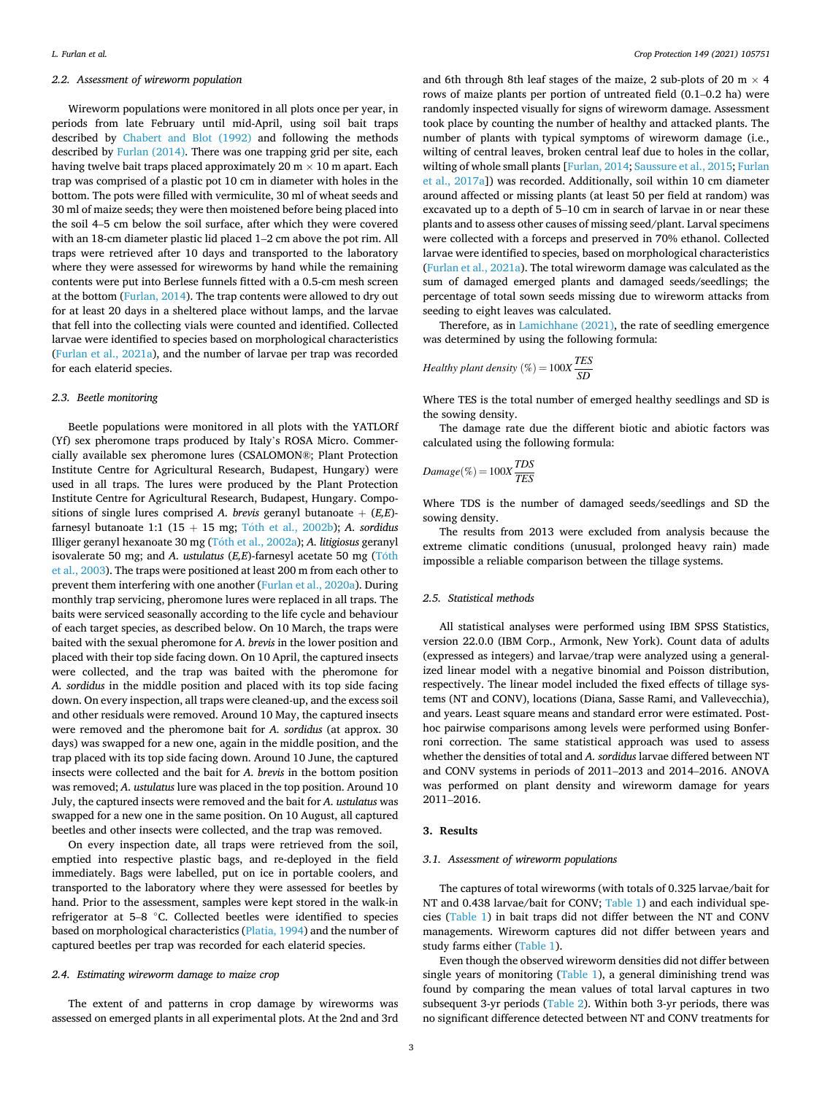## *2.2. Assessment of wireworm population*

Wireworm populations were monitored in all plots once per year, in periods from late February until mid-April, using soil bait traps described by [Chabert and Blot \(1992\)](#page-6-0) and following the methods described by [Furlan \(2014\)](#page-6-0). There was one trapping grid per site, each having twelve bait traps placed approximately 20  $m \times 10$  m apart. Each trap was comprised of a plastic pot 10 cm in diameter with holes in the bottom. The pots were filled with vermiculite, 30 ml of wheat seeds and 30 ml of maize seeds; they were then moistened before being placed into the soil 4–5 cm below the soil surface, after which they were covered with an 18-cm diameter plastic lid placed 1–2 cm above the pot rim. All traps were retrieved after 10 days and transported to the laboratory where they were assessed for wireworms by hand while the remaining contents were put into Berlese funnels fitted with a 0.5-cm mesh screen at the bottom ([Furlan, 2014\)](#page-6-0). The trap contents were allowed to dry out for at least 20 days in a sheltered place without lamps, and the larvae that fell into the collecting vials were counted and identified. Collected larvae were identified to species based on morphological characteristics ([Furlan et al., 2021a](#page-6-0)), and the number of larvae per trap was recorded for each elaterid species.

## *2.3. Beetle monitoring*

Beetle populations were monitored in all plots with the YATLORf (Yf) sex pheromone traps produced by Italy's ROSA Micro. Commercially available sex pheromone lures (CSALOMON®; Plant Protection Institute Centre for Agricultural Research, Budapest, Hungary) were used in all traps. The lures were produced by the Plant Protection Institute Centre for Agricultural Research, Budapest, Hungary. Compositions of single lures comprised *A. brevis* geranyl butanoate + (*E,E*) farnesyl butanoate 1:1  $(15 + 15 \text{ mg}; \text{Tóth et al., } 2002\text{b})$ ; *A. sordidus* Illiger geranyl hexanoate 30 mg (Toth ´ [et al., 2002a](#page-7-0)); *A. litigiosus* geranyl isovalerate 50 mg; and *A. ustulatus* (*E,E*)-farnesyl acetate 50 mg (Tóth [et al., 2003](#page-7-0)). The traps were positioned at least 200 m from each other to prevent them interfering with one another ([Furlan et al., 2020a](#page-6-0)). During monthly trap servicing, pheromone lures were replaced in all traps. The baits were serviced seasonally according to the life cycle and behaviour of each target species, as described below. On 10 March, the traps were baited with the sexual pheromone for *A. brevis* in the lower position and placed with their top side facing down. On 10 April, the captured insects were collected, and the trap was baited with the pheromone for *A. sordidus* in the middle position and placed with its top side facing down. On every inspection, all traps were cleaned-up, and the excess soil and other residuals were removed. Around 10 May, the captured insects were removed and the pheromone bait for *A. sordidus* (at approx. 30 days) was swapped for a new one, again in the middle position, and the trap placed with its top side facing down. Around 10 June, the captured insects were collected and the bait for *A. brevis* in the bottom position was removed; *A. ustulatus* lure was placed in the top position. Around 10 July, the captured insects were removed and the bait for *A. ustulatus* was swapped for a new one in the same position. On 10 August, all captured beetles and other insects were collected, and the trap was removed.

On every inspection date, all traps were retrieved from the soil, emptied into respective plastic bags, and re-deployed in the field immediately. Bags were labelled, put on ice in portable coolers, and transported to the laboratory where they were assessed for beetles by hand. Prior to the assessment, samples were kept stored in the walk-in refrigerator at 5–8 ◦C. Collected beetles were identified to species based on morphological characteristics [\(Platia, 1994](#page-6-0)) and the number of captured beetles per trap was recorded for each elaterid species.

## *2.4. Estimating wireworm damage to maize crop*

The extent of and patterns in crop damage by wireworms was assessed on emerged plants in all experimental plots. At the 2nd and 3rd and 6th through 8th leaf stages of the maize, 2 sub-plots of 20 m  $\times$  4 rows of maize plants per portion of untreated field (0.1–0.2 ha) were randomly inspected visually for signs of wireworm damage. Assessment took place by counting the number of healthy and attacked plants. The number of plants with typical symptoms of wireworm damage (i.e., wilting of central leaves, broken central leaf due to holes in the collar, wilting of whole small plants [\[Furlan, 2014](#page-6-0); [Saussure et al., 2015;](#page-7-0) [Furlan](#page-6-0)  [et al., 2017a](#page-6-0)]) was recorded. Additionally, soil within 10 cm diameter around affected or missing plants (at least 50 per field at random) was excavated up to a depth of 5–10 cm in search of larvae in or near these plants and to assess other causes of missing seed/plant. Larval specimens were collected with a forceps and preserved in 70% ethanol. Collected larvae were identified to species, based on morphological characteristics ([Furlan et al., 2021a](#page-6-0)). The total wireworm damage was calculated as the sum of damaged emerged plants and damaged seeds/seedlings; the percentage of total sown seeds missing due to wireworm attacks from seeding to eight leaves was calculated.

Therefore, as in [Lamichhane \(2021\)](#page-6-0), the rate of seedling emergence was determined by using the following formula:

$$
Healthy plant density (\%) = 100X \frac{TES}{SD}
$$

Where TES is the total number of emerged healthy seedlings and SD is the sowing density.

The damage rate due the different biotic and abiotic factors was calculated using the following formula:

$$
Damage(\%) = 100X \frac{TDS}{TES}
$$

Where TDS is the number of damaged seeds/seedlings and SD the sowing density.

The results from 2013 were excluded from analysis because the extreme climatic conditions (unusual, prolonged heavy rain) made impossible a reliable comparison between the tillage systems.

## *2.5. Statistical methods*

All statistical analyses were performed using IBM SPSS Statistics, version 22.0.0 (IBM Corp., Armonk, New York). Count data of adults (expressed as integers) and larvae/trap were analyzed using a generalized linear model with a negative binomial and Poisson distribution, respectively. The linear model included the fixed effects of tillage systems (NT and CONV), locations (Diana, Sasse Rami, and Vallevecchia), and years. Least square means and standard error were estimated. Posthoc pairwise comparisons among levels were performed using Bonferroni correction. The same statistical approach was used to assess whether the densities of total and *A. sordidus* larvae differed between NT and CONV systems in periods of 2011–2013 and 2014–2016. ANOVA was performed on plant density and wireworm damage for years 2011–2016.

## **3. Results**

## *3.1. Assessment of wireworm populations*

The captures of total wireworms (with totals of 0.325 larvae/bait for NT and 0.438 larvae/bait for CONV; [Table 1](#page-3-0)) and each individual species ([Table 1](#page-3-0)) in bait traps did not differ between the NT and CONV managements. Wireworm captures did not differ between years and study farms either [\(Table 1\)](#page-3-0).

Even though the observed wireworm densities did not differ between single years of monitoring ([Table 1\)](#page-3-0), a general diminishing trend was found by comparing the mean values of total larval captures in two subsequent 3-yr periods ([Table 2](#page-3-0)). Within both 3-yr periods, there was no significant difference detected between NT and CONV treatments for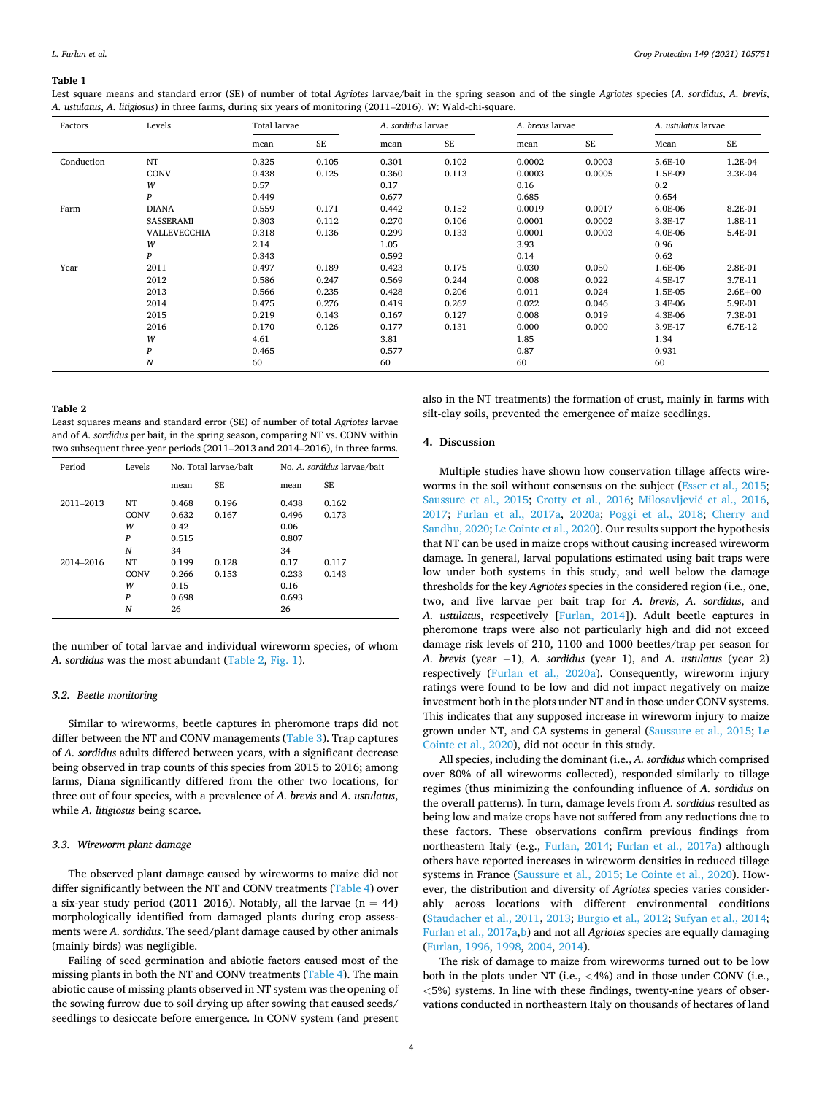#### <span id="page-3-0"></span>**Table 1**

Lest square means and standard error (SE) of number of total *Agriotes* larvae/bait in the spring season and of the single *Agriotes* species (*A. sordidus*, *A. brevis*, *A. ustulatus*, *A. litigiosus*) in three farms, during six years of monitoring (2011–2016). W: Wald-chi-square.

| Factors    | Levels           |                                  | <b>Total larvae</b>     |       | A. sordidus larvae | A. brevis larvae |           |         | A. ustulatus larvae |  |  |  |
|------------|------------------|----------------------------------|-------------------------|-------|--------------------|------------------|-----------|---------|---------------------|--|--|--|
|            |                  | mean                             | $\rm SE$                | mean  | <b>SE</b>          | mean             | <b>SE</b> | Mean    | <b>SE</b>           |  |  |  |
| Conduction | NT               | 0.325                            | 0.105                   |       | 0.102              | 0.0002           | 0.0003    |         | 1.2E-04             |  |  |  |
|            | <b>CONV</b>      | 0.438                            | 0.125                   | 0.360 | 0.113              | 0.0003           | 0.0005    | 1.5E-09 | 3.3E-04             |  |  |  |
|            | W                | 0.57                             | 0.17<br>0.449           |       |                    | 0.16             |           | 0.2     |                     |  |  |  |
|            | P                |                                  |                         |       | 0.677              |                  |           | 0.654   |                     |  |  |  |
| Farm       | <b>DIANA</b>     | 0.559                            | 0.171                   |       | 0.152              | 0.0019           | 0.0017    | 6.0E-06 | 8.2E-01             |  |  |  |
|            | SASSERAMI        | 0.303                            | 0.112                   | 0.270 | 0.106              | 0.0001           | 0.0002    | 3.3E-17 | 1.8E-11             |  |  |  |
|            | VALLEVECCHIA     | 0.318                            | 0.136                   |       | 0.133              | 0.0001           | 0.0003    | 4.0E-06 | 5.4E-01             |  |  |  |
|            | W                | 2.14                             |                         | 1.05  |                    |                  |           | 0.96    |                     |  |  |  |
|            | $\boldsymbol{P}$ | 0.343                            |                         | 0.592 |                    | 0.14             |           | 0.62    |                     |  |  |  |
| Year       | 2011             | 0.497<br>0.189<br>0.586<br>0.247 |                         | 0.423 | 0.175              | 0.030            | 0.050     | 1.6E-06 | 2.8E-01             |  |  |  |
|            | 2012             |                                  |                         | 0.569 | 0.244              | 0.008            | 0.022     |         | 3.7E-11             |  |  |  |
|            | 2013             | 0.566                            | 0.235<br>0.475<br>0.276 |       | 0.206              | 0.011            | 0.024     | 1.5E-05 | $2.6E + 00$         |  |  |  |
|            | 2014             |                                  |                         |       | 0.262              | 0.022            | 0.046     | 3.4E-06 | 5.9E-01             |  |  |  |
|            | 2015             | 0.219                            | 0.143                   | 0.167 | 0.127              | 0.008            | 0.019     | 4.3E-06 | 7.3E-01             |  |  |  |
|            | 2016             | 0.170                            | 0.126                   |       | 0.131              | 0.000            | 0.000     | 3.9E-17 | 6.7E-12             |  |  |  |
|            | W                | 4.61                             |                         | 3.81  |                    | 1.85             |           | 1.34    |                     |  |  |  |
|            | P                | 0.465                            |                         | 0.577 |                    |                  |           | 0.931   |                     |  |  |  |
|            | N                | 60                               |                         | 60    |                    | 60               |           | 60      |                     |  |  |  |

## **Table 2**

Least squares means and standard error (SE) of number of total *Agriotes* larvae and of *A. sordidus* per bait, in the spring season, comparing NT vs. CONV within two subsequent three-year periods (2011–2013 and 2014–2016), in three farms.

| Period    | Levels           |       | No. Total larvae/bait | No. A. sordidus larvae/bait |           |  |  |  |  |
|-----------|------------------|-------|-----------------------|-----------------------------|-----------|--|--|--|--|
|           |                  | mean  | SE                    |                             | <b>SE</b> |  |  |  |  |
| 2011-2013 | NT               | 0.468 | 0.196                 | 0.438                       | 0.162     |  |  |  |  |
|           | <b>CONV</b>      | 0.632 | 0.167                 | 0.496                       | 0.173     |  |  |  |  |
|           | w                | 0.42  |                       | 0.06                        |           |  |  |  |  |
|           | $\boldsymbol{P}$ | 0.515 |                       | 0.807                       |           |  |  |  |  |
|           | N                | 34    |                       | 34                          |           |  |  |  |  |
| 2014-2016 | NT               | 0.199 | 0.128                 | 0.17                        | 0.117     |  |  |  |  |
|           | <b>CONV</b>      | 0.266 | 0.153                 | 0.233                       | 0.143     |  |  |  |  |
|           | w                | 0.15  |                       | 0.16                        |           |  |  |  |  |
|           | $\boldsymbol{P}$ | 0.698 |                       | 0.693                       |           |  |  |  |  |
|           | N                | 26    |                       | 26                          |           |  |  |  |  |

the number of total larvae and individual wireworm species, of whom *A. sordidus* was the most abundant (Table 2, [Fig. 1](#page-4-0)).

## *3.2. Beetle monitoring*

Similar to wireworms, beetle captures in pheromone traps did not differ between the NT and CONV managements ([Table 3\)](#page-4-0). Trap captures of *A. sordidus* adults differed between years, with a significant decrease being observed in trap counts of this species from 2015 to 2016; among farms, Diana significantly differed from the other two locations, for three out of four species, with a prevalence of *A. brevis* and *A. ustulatus*, while *A. litigiosus* being scarce.

## *3.3. Wireworm plant damage*

The observed plant damage caused by wireworms to maize did not differ significantly between the NT and CONV treatments [\(Table 4](#page-5-0)) over a six-year study period (2011–2016). Notably, all the larvae  $(n = 44)$ morphologically identified from damaged plants during crop assessments were *A. sordidus*. The seed/plant damage caused by other animals (mainly birds) was negligible.

Failing of seed germination and abiotic factors caused most of the missing plants in both the NT and CONV treatments ([Table 4\)](#page-5-0). The main abiotic cause of missing plants observed in NT system was the opening of the sowing furrow due to soil drying up after sowing that caused seeds/ seedlings to desiccate before emergence. In CONV system (and present also in the NT treatments) the formation of crust, mainly in farms with silt-clay soils, prevented the emergence of maize seedlings.

## **4. Discussion**

Multiple studies have shown how conservation tillage affects wireworms in the soil without consensus on the subject [\(Esser et al., 2015](#page-6-0); [Saussure et al., 2015](#page-7-0); [Crotty et al., 2016](#page-6-0); Milosavljević et al., 2016, [2017;](#page-6-0) [Furlan et al., 2017a](#page-6-0), [2020a](#page-6-0); [Poggi et al., 2018;](#page-6-0) [Cherry and](#page-6-0)  [Sandhu, 2020; Le Cointe et al., 2020\)](#page-6-0). Our results support the hypothesis that NT can be used in maize crops without causing increased wireworm damage. In general, larval populations estimated using bait traps were low under both systems in this study, and well below the damage thresholds for the key *Agriotes* species in the considered region (i.e., one, two, and five larvae per bait trap for *A. brevis*, *A. sordidus*, and *A. ustulatus*, respectively [\[Furlan, 2014](#page-6-0)]). Adult beetle captures in pheromone traps were also not particularly high and did not exceed damage risk levels of 210, 1100 and 1000 beetles/trap per season for *A. brevis* (year −1), *A. sordidus* (year 1), and *A. ustulatus* (year 2) respectively [\(Furlan et al., 2020a\)](#page-6-0). Consequently, wireworm injury ratings were found to be low and did not impact negatively on maize investment both in the plots under NT and in those under CONV systems. This indicates that any supposed increase in wireworm injury to maize grown under NT, and CA systems in general [\(Saussure et al., 2015;](#page-7-0) [Le](#page-6-0)  [Cointe et al., 2020](#page-6-0)), did not occur in this study.

All species, including the dominant (i.e., *A. sordidus* which comprised over 80% of all wireworms collected), responded similarly to tillage regimes (thus minimizing the confounding influence of *A. sordidus* on the overall patterns). In turn, damage levels from *A. sordidus* resulted as being low and maize crops have not suffered from any reductions due to these factors. These observations confirm previous findings from northeastern Italy (e.g., [Furlan, 2014;](#page-6-0) [Furlan et al., 2017a\)](#page-6-0) although others have reported increases in wireworm densities in reduced tillage systems in France [\(Saussure et al., 2015](#page-7-0); [Le Cointe et al., 2020\)](#page-6-0). However, the distribution and diversity of *Agriotes* species varies considerably across locations with different environmental conditions ([Staudacher et al., 2011](#page-7-0), [2013;](#page-7-0) [Burgio et al., 2012](#page-6-0); [Sufyan et al., 2014](#page-7-0); [Furlan et al., 2017a,b\)](#page-6-0) and not all *Agriotes* species are equally damaging ([Furlan, 1996](#page-6-0), [1998, 2004](#page-6-0), [2014\)](#page-6-0).

The risk of damage to maize from wireworms turned out to be low both in the plots under NT (i.e., *<*4%) and in those under CONV (i.e., *<*5%) systems. In line with these findings, twenty-nine years of observations conducted in northeastern Italy on thousands of hectares of land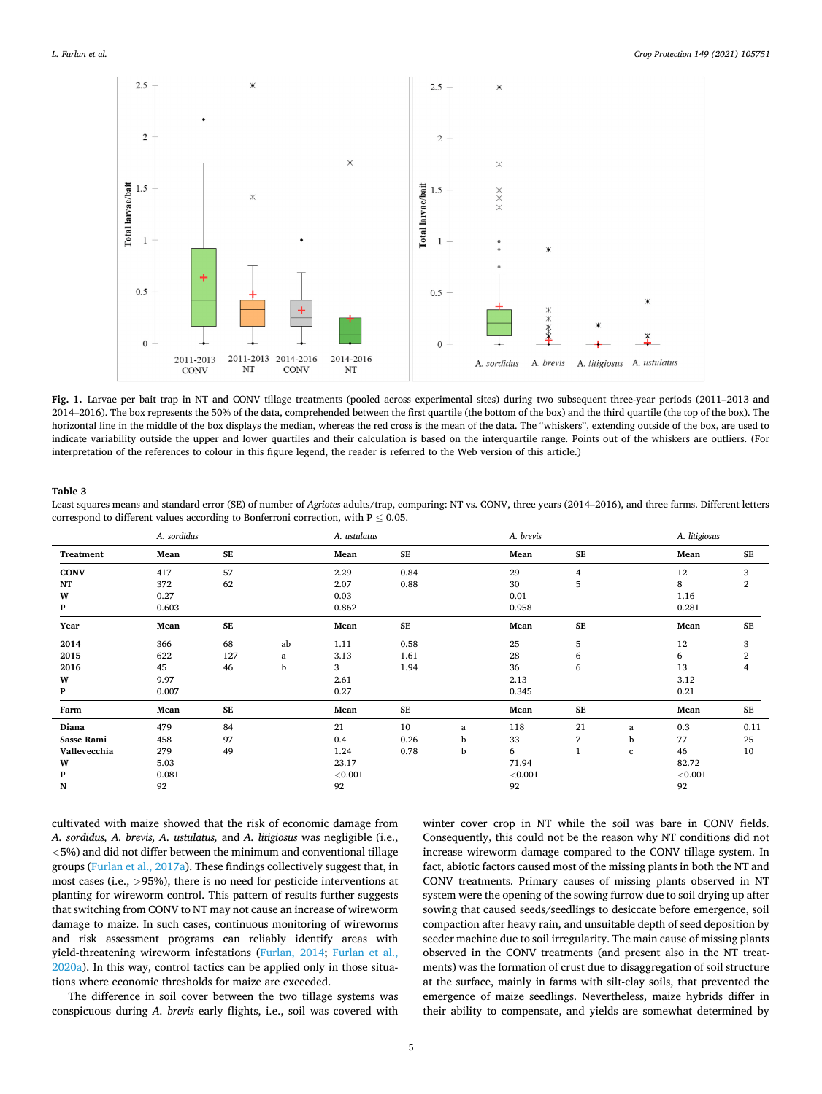<span id="page-4-0"></span>

**Fig. 1.** Larvae per bait trap in NT and CONV tillage treatments (pooled across experimental sites) during two subsequent three-year periods (2011–2013 and 2014–2016). The box represents the 50% of the data, comprehended between the first quartile (the bottom of the box) and the third quartile (the top of the box). The horizontal line in the middle of the box displays the median, whereas the red cross is the mean of the data. The "whiskers", extending outside of the box, are used to indicate variability outside the upper and lower quartiles and their calculation is based on the interquartile range. Points out of the whiskers are outliers. (For interpretation of the references to colour in this figure legend, the reader is referred to the Web version of this article.)

#### **Table 3**

| Least squares means and standard error (SE) of number of Agriotes adults/trap, comparing: NT vs. CONV, three years (2014-2016), and three farms. Different letters |  |
|--------------------------------------------------------------------------------------------------------------------------------------------------------------------|--|
| correspond to different values according to Bonferroni correction, with $P \leq 0.05$ .                                                                            |  |

|              | A. sordidus |            |    |         | A. ustulatus |   | A. brevis |            | A. litigiosus |            |                |  |
|--------------|-------------|------------|----|---------|--------------|---|-----------|------------|---------------|------------|----------------|--|
| Treatment    | Mean        | SE         |    | Mean    | SE           |   | Mean      | SE         |               | Mean       | SE             |  |
| <b>CONV</b>  | 417         | 57         |    | 2.29    | 0.84         |   | 29        | 4          |               | 12         | 3              |  |
| NT           | 372         | 62         |    | 2.07    | 0.88         |   | 30        | 5          |               | 8          | $\mathbf{2}$   |  |
| W            | 0.27        |            |    | 0.03    |              |   | 0.01      |            |               | 1.16       |                |  |
| P            | 0.603       |            |    | 0.862   |              |   | 0.958     |            |               | 0.281      |                |  |
| Year         | Mean        | ${\bf SE}$ |    | Mean    | ${\bf SE}$   |   | Mean      | ${\bf SE}$ |               | Mean       | SE             |  |
| 2014         | 366         | 68         | ab | 1.11    | 0.58         |   | 25        | 5          |               | 12         | 3              |  |
| 2015         | 622         | 127        | a  | 3.13    | 1.61         |   | 28        | 6          |               | 6          | 2              |  |
| 2016         | 45          | 46         | b  | 3       | 1.94         |   | 36        | 6          |               | 13         | $\overline{4}$ |  |
| W            | 9.97        |            |    | 2.61    |              |   | 2.13      |            |               | 3.12       |                |  |
| P            | 0.007       |            |    | 0.27    |              |   | 0.345     |            |               | 0.21       |                |  |
| Farm         | Mean        | SE         |    | Mean    | SE           |   | Mean      | <b>SE</b>  |               | Mean       | SE             |  |
| Diana        | 479         | 84         |    | 21      | 10           | a | 118       | 21         | a             | 0.3        | 0.11           |  |
| Sasse Rami   | 458         | 97         |    | 0.4     | 0.26         | b | 33        | 7          | b             | 77         | 25             |  |
| Vallevecchia | 279         | 49         |    | 1.24    | 0.78         | b | 6         |            | c             | 46         | 10             |  |
| W            | 5.03        |            |    | 23.17   |              |   | 71.94     |            |               | 82.72      |                |  |
| P            | 0.081       |            |    | < 0.001 |              |   | < 0.001   |            |               | ${<}0.001$ |                |  |
| N            | 92          |            |    | 92      |              |   | 92        |            |               | 92         |                |  |

cultivated with maize showed that the risk of economic damage from *A. sordidus, A. brevis, A. ustulatus,* and *A. litigiosus* was negligible (i.e., *<*5%) and did not differ between the minimum and conventional tillage groups [\(Furlan et al., 2017a](#page-6-0)). These findings collectively suggest that, in most cases (i.e., *>*95%), there is no need for pesticide interventions at planting for wireworm control. This pattern of results further suggests that switching from CONV to NT may not cause an increase of wireworm damage to maize. In such cases, continuous monitoring of wireworms and risk assessment programs can reliably identify areas with yield-threatening wireworm infestations ([Furlan, 2014](#page-6-0); [Furlan et al.,](#page-6-0)  [2020a\)](#page-6-0). In this way, control tactics can be applied only in those situations where economic thresholds for maize are exceeded.

The difference in soil cover between the two tillage systems was conspicuous during *A. brevis* early flights, i.e., soil was covered with

winter cover crop in NT while the soil was bare in CONV fields. Consequently, this could not be the reason why NT conditions did not increase wireworm damage compared to the CONV tillage system. In fact, abiotic factors caused most of the missing plants in both the NT and CONV treatments. Primary causes of missing plants observed in NT system were the opening of the sowing furrow due to soil drying up after sowing that caused seeds/seedlings to desiccate before emergence, soil compaction after heavy rain, and unsuitable depth of seed deposition by seeder machine due to soil irregularity. The main cause of missing plants observed in the CONV treatments (and present also in the NT treatments) was the formation of crust due to disaggregation of soil structure at the surface, mainly in farms with silt-clay soils, that prevented the emergence of maize seedlings. Nevertheless, maize hybrids differ in their ability to compensate, and yields are somewhat determined by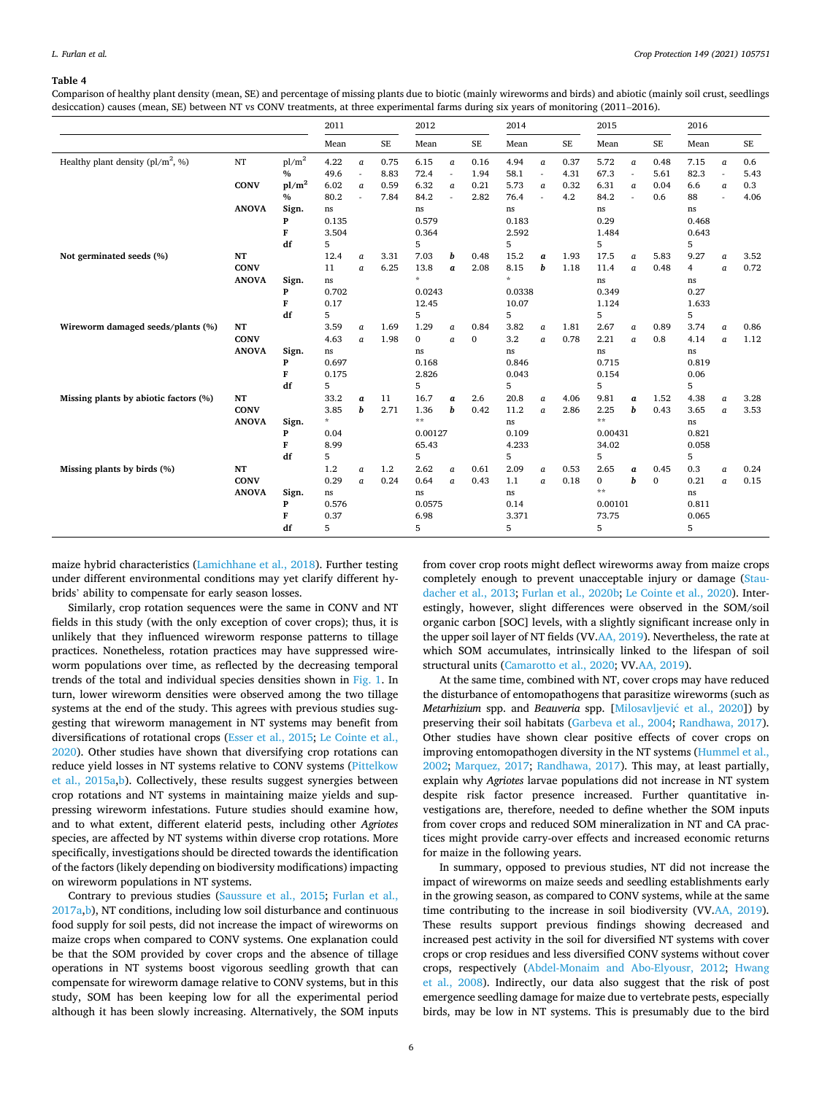#### <span id="page-5-0"></span>**Table 4**

Comparison of healthy plant density (mean, SE) and percentage of missing plants due to biotic (mainly wireworms and birds) and abiotic (mainly soil crust, seedlings desiccation) causes (mean, SE) between NT vs CONV treatments, at three experimental farms during six years of monitoring (2011–2016).

|                                       |                                   |                                  | 2011                                                    |                                           | 2012         |                                                 |                                    | 2014                 |                                                            |                                      | 2015         |                                                 |                              | 2016                 |                                                    |                                      |              |
|---------------------------------------|-----------------------------------|----------------------------------|---------------------------------------------------------|-------------------------------------------|--------------|-------------------------------------------------|------------------------------------|----------------------|------------------------------------------------------------|--------------------------------------|--------------|-------------------------------------------------|------------------------------|----------------------|----------------------------------------------------|--------------------------------------|--------------|
|                                       |                                   |                                  | Mean                                                    |                                           | $\rm SE$     | Mean                                            |                                    | <b>SE</b>            | Mean                                                       |                                      | SE           | Mean                                            |                              | SE                   | Mean                                               |                                      | $\rm SE$     |
| Healthy plant density ( $pl/m^2$ , %) | $_{\rm NT}$                       | pl/m <sup>2</sup><br>%           | 4.22<br>49.6                                            | $\alpha$<br>$\sim$                        | 0.75<br>8.83 | 6.15<br>72.4                                    | $\alpha$<br>$\sim$                 | 0.16<br>1.94         | 4.94<br>58.1                                               | $\overline{a}$<br>ä,                 | 0.37<br>4.31 | 5.72<br>67.3                                    | $\alpha$<br>ä,               | 0.48<br>5.61         | 7.15<br>82.3                                       | $\alpha$<br>ä,                       | 0.6<br>5.43  |
|                                       | <b>CONV</b>                       | pl/m <sup>2</sup><br>%           | 6.02<br>80.2                                            | $\mathfrak a$<br>$\overline{\phantom{a}}$ | 0.59<br>7.84 | 6.32<br>84.2                                    | $\boldsymbol{a}$<br>×.             | 0.21<br>2.82         | 5.73<br>76.4                                               | $\alpha$<br>J.                       | 0.32<br>4.2  | 6.31<br>84.2                                    | a<br>×.                      | 0.04<br>0.6          | 6.6<br>88                                          | $\boldsymbol{a}$<br>÷.               | 0.3<br>4.06  |
|                                       | <b>ANOVA</b>                      | Sign.<br>P<br>F<br>df            | ns.<br>0.135<br>3.504<br>5                              |                                           |              | ns<br>0.579<br>0.364<br>5                       |                                    |                      | ns<br>0.183<br>2.592<br>5                                  |                                      |              | ns<br>0.29<br>1.484<br>5                        |                              |                      | ns<br>0.468<br>0.643<br>5                          |                                      |              |
| Not germinated seeds (%)              | NT<br><b>CONV</b><br><b>ANOVA</b> | Sign.<br>P<br>F<br>df            | 12.4<br>11<br>ns<br>0.702<br>0.17<br>5                  | $\boldsymbol{a}$<br>$\alpha$              | 3.31<br>6.25 | 7.03<br>13.8<br>$\star$<br>0.0243<br>12.45<br>5 | b<br>$\boldsymbol{a}$              | 0.48<br>2.08         | 15.2<br>8.15<br>$\dot{\mathbf{x}}$<br>0.0338<br>10.07<br>5 | a<br>b                               | 1.93<br>1.18 | 17.5<br>11.4<br>ns<br>0.349<br>1.124<br>5       | $\alpha$<br>$\alpha$         | 5.83<br>0.48         | 9.27<br>$\overline{4}$<br>ns<br>0.27<br>1.633<br>5 | $\boldsymbol{a}$<br>$\alpha$         | 3.52<br>0.72 |
| Wireworm damaged seeds/plants (%)     | NT<br><b>CONV</b><br><b>ANOVA</b> | Sign.<br>$\mathbf{P}$<br>F<br>df | 3.59<br>4.63<br>$\rm ns$<br>0.697<br>0.175<br>5         | $\boldsymbol{a}$<br>$\alpha$              | 1.69<br>1.98 | 1.29<br>$\bf{0}$<br>ns<br>0.168<br>2.826<br>5   | $\boldsymbol{a}$<br>$\overline{a}$ | 0.84<br>$\mathbf{0}$ | 3.82<br>3.2<br>$\rm ns$<br>0.846<br>0.043<br>5             | $\boldsymbol{a}$<br>$\alpha$         | 1.81<br>0.78 | 2.67<br>2.21<br>$\rm ns$<br>0.715<br>0.154<br>5 | $\boldsymbol{a}$<br>$\alpha$ | 0.89<br>0.8          | 3.74<br>4.14<br>ns<br>0.819<br>0.06<br>5           | $\boldsymbol{a}$<br>$\alpha$         | 0.86<br>1.12 |
| Missing plants by abiotic factors (%) | NT<br><b>CONV</b><br><b>ANOVA</b> | Sign.<br>$\mathbf{P}$<br>F<br>df | 33.2<br>3.85<br>$\dot{\mathbf{x}}$<br>0.04<br>8.99<br>5 | a<br>b                                    | 11<br>2.71   | 16.7<br>1.36<br>$**$<br>0.00127<br>65.43<br>5   | a<br>b                             | 2.6<br>0.42          | 20.8<br>11.2<br>$\rm ns$<br>0.109<br>4.233<br>5            | $\alpha$<br>$\alpha$                 | 4.06<br>2.86 | 9.81<br>2.25<br>$**$<br>0.00431<br>34.02<br>5   | $\boldsymbol{a}$<br>b        | 1.52<br>0.43         | 4.38<br>3.65<br>ns<br>0.821<br>0.058<br>5          | $\boldsymbol{a}$<br>$\boldsymbol{a}$ | 3.28<br>3.53 |
| Missing plants by birds (%)           | NT<br><b>CONV</b><br><b>ANOVA</b> | Sign.<br>P<br>F<br>df            | 1.2<br>0.29<br>ns<br>0.576<br>0.37<br>5                 | a<br>$\alpha$                             | 1.2<br>0.24  | 2.62<br>0.64<br>ns<br>0.0575<br>6.98<br>5       | $\alpha$<br>$\alpha$               | 0.61<br>0.43         | 2.09<br>1.1<br>ns<br>0.14<br>3.371<br>5                    | $\boldsymbol{a}$<br>$\boldsymbol{a}$ | 0.53<br>0.18 | 2.65<br>0<br>$* *$<br>0.00101<br>73.75<br>5     | a<br>h                       | 0.45<br>$\mathbf{0}$ | 0.3<br>0.21<br>ns<br>0.811<br>0.065<br>5           | $\boldsymbol{a}$<br>$\alpha$         | 0.24<br>0.15 |

maize hybrid characteristics ([Lamichhane et al., 2018\)](#page-6-0). Further testing under different environmental conditions may yet clarify different hybrids' ability to compensate for early season losses.

Similarly, crop rotation sequences were the same in CONV and NT fields in this study (with the only exception of cover crops); thus, it is unlikely that they influenced wireworm response patterns to tillage practices. Nonetheless, rotation practices may have suppressed wireworm populations over time, as reflected by the decreasing temporal trends of the total and individual species densities shown in [Fig. 1](#page-4-0). In turn, lower wireworm densities were observed among the two tillage systems at the end of the study. This agrees with previous studies suggesting that wireworm management in NT systems may benefit from diversifications of rotational crops [\(Esser et al., 2015](#page-6-0); [Le Cointe et al.,](#page-6-0)  [2020\)](#page-6-0). Other studies have shown that diversifying crop rotations can reduce yield losses in NT systems relative to CONV systems [\(Pittelkow](#page-6-0)  [et al., 2015a,b](#page-6-0)). Collectively, these results suggest synergies between crop rotations and NT systems in maintaining maize yields and suppressing wireworm infestations. Future studies should examine how, and to what extent, different elaterid pests, including other *Agriotes*  species, are affected by NT systems within diverse crop rotations. More specifically, investigations should be directed towards the identification of the factors (likely depending on biodiversity modifications) impacting on wireworm populations in NT systems.

Contrary to previous studies [\(Saussure et al., 2015;](#page-7-0) [Furlan et al.,](#page-6-0)  [2017a,b](#page-6-0)), NT conditions, including low soil disturbance and continuous food supply for soil pests, did not increase the impact of wireworms on maize crops when compared to CONV systems. One explanation could be that the SOM provided by cover crops and the absence of tillage operations in NT systems boost vigorous seedling growth that can compensate for wireworm damage relative to CONV systems, but in this study, SOM has been keeping low for all the experimental period although it has been slowly increasing. Alternatively, the SOM inputs from cover crop roots might deflect wireworms away from maize crops completely enough to prevent unacceptable injury or damage ([Stau](#page-7-0)[dacher et al., 2013;](#page-7-0) [Furlan et al., 2020b;](#page-6-0) [Le Cointe et al., 2020](#page-6-0)). Interestingly, however, slight differences were observed in the SOM/soil organic carbon [SOC] levels, with a slightly significant increase only in the upper soil layer of NT fields (VV.[AA, 2019](#page-6-0)). Nevertheless, the rate at which SOM accumulates, intrinsically linked to the lifespan of soil structural units ([Camarotto et al., 2020](#page-6-0); VV.[AA, 2019](#page-6-0)).

At the same time, combined with NT, cover crops may have reduced the disturbance of entomopathogens that parasitize wireworms (such as *Metarhizium spp. and Beauveria spp. [Milosavljević et al., 2020])* by preserving their soil habitats ([Garbeva et al., 2004](#page-6-0); [Randhawa, 2017](#page-6-0)). Other studies have shown clear positive effects of cover crops on improving entomopathogen diversity in the NT systems ([Hummel et al.,](#page-6-0)  [2002;](#page-6-0) [Marquez, 2017;](#page-6-0) [Randhawa, 2017\)](#page-6-0). This may, at least partially, explain why *Agriotes* larvae populations did not increase in NT system despite risk factor presence increased. Further quantitative investigations are, therefore, needed to define whether the SOM inputs from cover crops and reduced SOM mineralization in NT and CA practices might provide carry-over effects and increased economic returns for maize in the following years.

In summary, opposed to previous studies, NT did not increase the impact of wireworms on maize seeds and seedling establishments early in the growing season, as compared to CONV systems, while at the same time contributing to the increase in soil biodiversity (VV[.AA, 2019](#page-6-0)). These results support previous findings showing decreased and increased pest activity in the soil for diversified NT systems with cover crops or crop residues and less diversified CONV systems without cover crops, respectively ([Abdel-Monaim and Abo-Elyousr, 2012;](#page-6-0) [Hwang](#page-6-0)  [et al., 2008\)](#page-6-0). Indirectly, our data also suggest that the risk of post emergence seedling damage for maize due to vertebrate pests, especially birds, may be low in NT systems. This is presumably due to the bird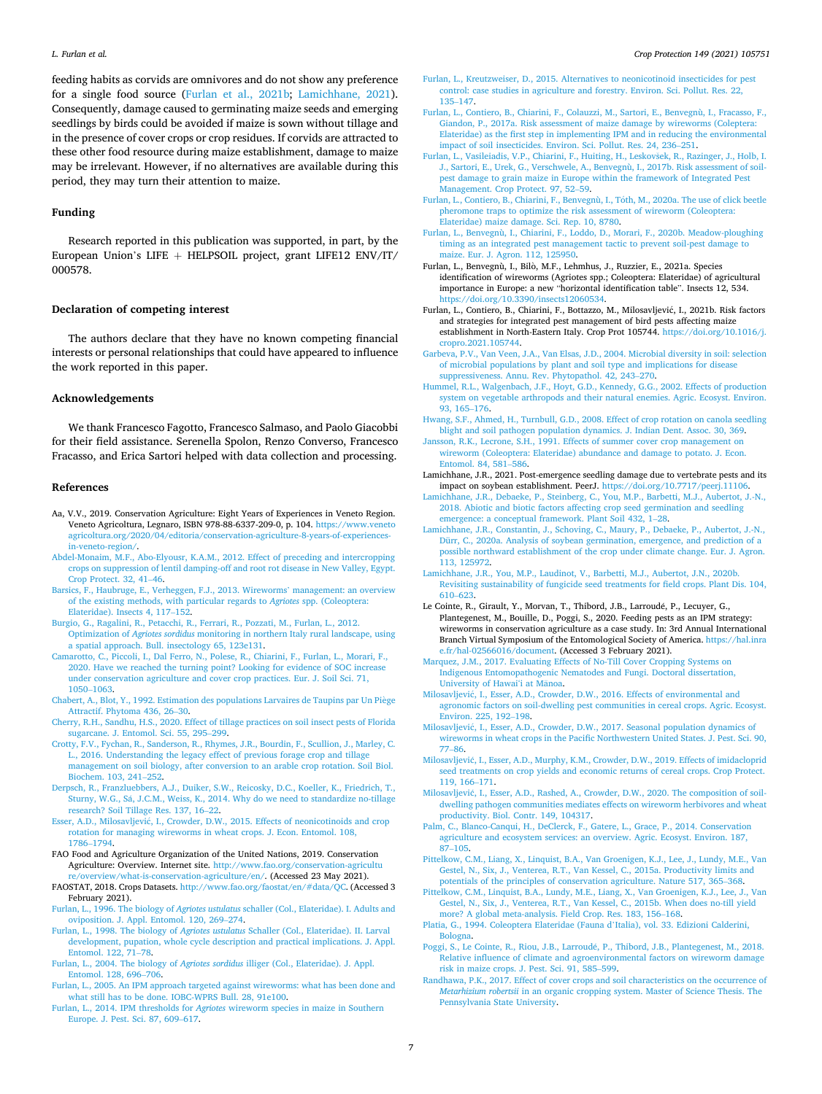<span id="page-6-0"></span>feeding habits as corvids are omnivores and do not show any preference for a single food source (Furlan et al., 2021b; Lamichhane, 2021). Consequently, damage caused to germinating maize seeds and emerging seedlings by birds could be avoided if maize is sown without tillage and in the presence of cover crops or crop residues. If corvids are attracted to these other food resource during maize establishment, damage to maize may be irrelevant. However, if no alternatives are available during this period, they may turn their attention to maize.

## **Funding**

Research reported in this publication was supported, in part, by the European Union's LIFE + HELPSOIL project, grant LIFE12  $ENV/IT/$ 000578.

## **Declaration of competing interest**

The authors declare that they have no known competing financial interests or personal relationships that could have appeared to influence the work reported in this paper.

## **Acknowledgements**

We thank Francesco Fagotto, Francesco Salmaso, and Paolo Giacobbi for their field assistance. Serenella Spolon, Renzo Converso, Francesco Fracasso, and Erica Sartori helped with data collection and processing.

#### **References**

- Aa, V.V., 2019. Conservation Agriculture: Eight Years of Experiences in Veneto Region. Veneto Agricoltura, Legnaro, ISBN 978-88-6337-209-0, p. 104. [https://www.veneto](https://www.venetoagricoltura.org/2020/04/editoria/conservation-agriculture-8-years-of-experiences-in-veneto-region/)  [agricoltura.org/2020/04/editoria/conservation-agriculture-8-years-of-experiences](https://www.venetoagricoltura.org/2020/04/editoria/conservation-agriculture-8-years-of-experiences-in-veneto-region/)[in-veneto-region/](https://www.venetoagricoltura.org/2020/04/editoria/conservation-agriculture-8-years-of-experiences-in-veneto-region/).
- [Abdel-Monaim, M.F., Abo-Elyousr, K.A.M., 2012. Effect of preceding and intercropping](http://refhub.elsevier.com/S0261-2194(21)00221-0/sref2) [crops on suppression of lentil damping-off and root rot disease in New Valley, Egypt.](http://refhub.elsevier.com/S0261-2194(21)00221-0/sref2)  [Crop Protect. 32, 41](http://refhub.elsevier.com/S0261-2194(21)00221-0/sref2)–46.
- [Barsics, F., Haubruge, E., Verheggen, F.J., 2013. Wireworms](http://refhub.elsevier.com/S0261-2194(21)00221-0/sref3)' management: an overview [of the existing methods, with particular regards to](http://refhub.elsevier.com/S0261-2194(21)00221-0/sref3) *Agriotes* spp. (Coleoptera: [Elateridae\). Insects 4, 117](http://refhub.elsevier.com/S0261-2194(21)00221-0/sref3)–152.
- [Burgio, G., Ragalini, R., Petacchi, R., Ferrari, R., Pozzati, M., Furlan, L., 2012.](http://refhub.elsevier.com/S0261-2194(21)00221-0/sref4)  Optimization of *Agriotes sordidus* [monitoring in northern Italy rural landscape, using](http://refhub.elsevier.com/S0261-2194(21)00221-0/sref4)  [a spatial approach. Bull. insectology 65, 123e131.](http://refhub.elsevier.com/S0261-2194(21)00221-0/sref4)
- [Camarotto, C., Piccoli, I., Dal Ferro, N., Polese, R., Chiarini, F., Furlan, L., Morari, F.,](http://refhub.elsevier.com/S0261-2194(21)00221-0/sref5) [2020. Have we reached the turning point? Looking for evidence of SOC increase](http://refhub.elsevier.com/S0261-2194(21)00221-0/sref5)  [under conservation agriculture and cover crop practices. Eur. J. Soil Sci. 71,](http://refhub.elsevier.com/S0261-2194(21)00221-0/sref5)  [1050](http://refhub.elsevier.com/S0261-2194(21)00221-0/sref5)–1063.
- [Chabert, A., Blot, Y., 1992. Estimation des populations Larvaires de Taupins par Un Pi](http://refhub.elsevier.com/S0261-2194(21)00221-0/sref6)ège [Attractif. Phytoma 436, 26](http://refhub.elsevier.com/S0261-2194(21)00221-0/sref6)–30.
- [Cherry, R.H., Sandhu, H.S., 2020. Effect of tillage practices on soil insect pests of Florida](http://refhub.elsevier.com/S0261-2194(21)00221-0/sref7)  [sugarcane. J. Entomol. Sci. 55, 295](http://refhub.elsevier.com/S0261-2194(21)00221-0/sref7)–299.
- [Crotty, F.V., Fychan, R., Sanderson, R., Rhymes, J.R., Bourdin, F., Scullion, J., Marley, C.](http://refhub.elsevier.com/S0261-2194(21)00221-0/sref8)  [L., 2016. Understanding the legacy effect of previous forage crop and tillage](http://refhub.elsevier.com/S0261-2194(21)00221-0/sref8)  [management on soil biology, after conversion to an arable crop rotation. Soil Biol.](http://refhub.elsevier.com/S0261-2194(21)00221-0/sref8) [Biochem. 103, 241](http://refhub.elsevier.com/S0261-2194(21)00221-0/sref8)–252.
- [Derpsch, R., Franzluebbers, A.J., Duiker, S.W., Reicosky, D.C., Koeller, K., Friedrich, T.,](http://refhub.elsevier.com/S0261-2194(21)00221-0/sref9)  Sturny, W.G., Sá, J.C.M., Weiss, K., 2014. Why do we need to standardize no-tillage [research? Soil Tillage Res. 137, 16](http://refhub.elsevier.com/S0261-2194(21)00221-0/sref9)–22.
- Esser, A.D., Milosavljević, I., Crowder, D.W., 2015. Effects of neonicotinoids and crop [rotation for managing wireworms in wheat crops. J. Econ. Entomol. 108,](http://refhub.elsevier.com/S0261-2194(21)00221-0/sref10)  [1786](http://refhub.elsevier.com/S0261-2194(21)00221-0/sref10)–1794.
- FAO Food and Agriculture Organization of the United Nations, 2019. Conservation Agriculture: Overview. Internet site. [http://www.fao.org/conservation-agricultu](http://www.fao.org/conservation-agriculture/overview/what-is-conservation-agriculture/en/) [re/overview/what-is-conservation-agriculture/en/.](http://www.fao.org/conservation-agriculture/overview/what-is-conservation-agriculture/en/) (Accessed 23 May 2021).
- FAOSTAT, 2018. Crops Datasets. [http://www.fao.org/faostat/en/#data/QC.](http://www.fao.org/faostat/en/#data/QC) (Accessed 3 February 2021). Furlan, L., 1996. The biology of *Agriotes ustulatus* [schaller \(Col., Elateridae\). I. Adults and](http://refhub.elsevier.com/S0261-2194(21)00221-0/sref13)
- [oviposition. J. Appl. Entomol. 120, 269](http://refhub.elsevier.com/S0261-2194(21)00221-0/sref13)–274.
- Furlan, L., 1998. The biology of *Agriotes ustulatus* [Schaller \(Col., Elateridae\). II. Larval](http://refhub.elsevier.com/S0261-2194(21)00221-0/sref14)  [development, pupation, whole cycle description and practical implications. J. Appl.](http://refhub.elsevier.com/S0261-2194(21)00221-0/sref14)  [Entomol. 122, 71](http://refhub.elsevier.com/S0261-2194(21)00221-0/sref14)–78.
- Furlan, L., 2004. The biology of *Agriotes sordidus* [illiger \(Col., Elateridae\). J. Appl.](http://refhub.elsevier.com/S0261-2194(21)00221-0/sref15)  [Entomol. 128, 696](http://refhub.elsevier.com/S0261-2194(21)00221-0/sref15)–706.
- [Furlan, L., 2005. An IPM approach targeted against wireworms: what has been done and](http://refhub.elsevier.com/S0261-2194(21)00221-0/sref16)  [what still has to be done. IOBC-WPRS Bull. 28, 91e100](http://refhub.elsevier.com/S0261-2194(21)00221-0/sref16).
- Furlan, L., 2014. IPM thresholds for *Agriotes* [wireworm species in maize in Southern](http://refhub.elsevier.com/S0261-2194(21)00221-0/sref17) [Europe. J. Pest. Sci. 87, 609](http://refhub.elsevier.com/S0261-2194(21)00221-0/sref17)–617.
- [Furlan, L., Kreutzweiser, D., 2015. Alternatives to neonicotinoid insecticides for pest](http://refhub.elsevier.com/S0261-2194(21)00221-0/sref18)  [control: case studies in agriculture and forestry. Environ. Sci. Pollut. Res. 22,](http://refhub.elsevier.com/S0261-2194(21)00221-0/sref18)  135–[147](http://refhub.elsevier.com/S0261-2194(21)00221-0/sref18).
- [Furlan, L., Contiero, B., Chiarini, F., Colauzzi, M., Sartori, E., Benvegnù, I., Fracasso, F.,](http://refhub.elsevier.com/S0261-2194(21)00221-0/sref19)  [Giandon, P., 2017a. Risk assessment of maize damage by wireworms \(Coleptera:](http://refhub.elsevier.com/S0261-2194(21)00221-0/sref19)  [Elateridae\) as the first step in implementing IPM and in reducing the environmental](http://refhub.elsevier.com/S0261-2194(21)00221-0/sref19)  [impact of soil insecticides. Environ. Sci. Pollut. Res. 24, 236](http://refhub.elsevier.com/S0261-2194(21)00221-0/sref19)–251.
- [Furlan, L., Vasileiadis, V.P., Chiarini, F., Huiting, H., Leskov](http://refhub.elsevier.com/S0261-2194(21)00221-0/sref20)šek, R., Razinger, J., Holb, I. [J., Sartori, E., Urek, G., Verschwele, A., Benvegnù, I., 2017b. Risk assessment of soil](http://refhub.elsevier.com/S0261-2194(21)00221-0/sref20)[pest damage to grain maize in Europe within the framework of Integrated Pest](http://refhub.elsevier.com/S0261-2194(21)00221-0/sref20)  [Management. Crop Protect. 97, 52](http://refhub.elsevier.com/S0261-2194(21)00221-0/sref20)–59.
- Furlan, L., Contiero, B., Chiarini, F., Benvegnù, I., Tóth, M., 2020a. The use of click beetle [pheromone traps to optimize the risk assessment of wireworm \(Coleoptera:](http://refhub.elsevier.com/S0261-2194(21)00221-0/sref21) [Elateridae\) maize damage. Sci. Rep. 10, 8780.](http://refhub.elsevier.com/S0261-2194(21)00221-0/sref21)
- [Furlan, L., Benvegnù, I., Chiarini, F., Loddo, D., Morari, F., 2020b. Meadow-ploughing](http://refhub.elsevier.com/S0261-2194(21)00221-0/sref22) [timing as an integrated pest management tactic to prevent soil-pest damage to](http://refhub.elsevier.com/S0261-2194(21)00221-0/sref22)  [maize. Eur. J. Agron. 112, 125950](http://refhub.elsevier.com/S0261-2194(21)00221-0/sref22).
- Furlan, L., Benvegnù, I., Bilò, M.F., Lehmhus, J., Ruzzier, E., 2021a. Species identification of wireworms (Agriotes spp.; Coleoptera: Elateridae) of agricultural importance in Europe: a new "horizontal identification table". Insects 12, 534. [https://doi.org/10.3390/insects12060534.](https://doi.org/10.3390/insects12060534)
- Furlan, L., Contiero, B., Chiarini, F., Bottazzo, M., Milosavljević, I., 2021b. Risk factors and strategies for integrated pest management of bird pests affecting maize establishment in North-Eastern Italy. Crop Prot 105744. [https://doi.org/10.1016/j.](https://doi.org/10.1016/j.cropro.2021.105744)  [cropro.2021.105744](https://doi.org/10.1016/j.cropro.2021.105744).
- [Garbeva, P.V., Van Veen, J.A., Van Elsas, J.D., 2004. Microbial diversity in soil: selection](http://refhub.elsevier.com/S0261-2194(21)00221-0/sref25)  [of microbial populations by plant and soil type and implications for disease](http://refhub.elsevier.com/S0261-2194(21)00221-0/sref25)  [suppressiveness. Annu. Rev. Phytopathol. 42, 243](http://refhub.elsevier.com/S0261-2194(21)00221-0/sref25)–270.
- [Hummel, R.L., Walgenbach, J.F., Hoyt, G.D., Kennedy, G.G., 2002. Effects of production](http://refhub.elsevier.com/S0261-2194(21)00221-0/sref26)  [system on vegetable arthropods and their natural enemies. Agric. Ecosyst. Environ.](http://refhub.elsevier.com/S0261-2194(21)00221-0/sref26)  [93, 165](http://refhub.elsevier.com/S0261-2194(21)00221-0/sref26)–176.
- [Hwang, S.F., Ahmed, H., Turnbull, G.D., 2008. Effect of crop rotation on canola seedling](http://refhub.elsevier.com/S0261-2194(21)00221-0/sref27)  [blight and soil pathogen population dynamics. J. Indian Dent. Assoc. 30, 369](http://refhub.elsevier.com/S0261-2194(21)00221-0/sref27).
- [Jansson, R.K., Lecrone, S.H., 1991. Effects of summer cover crop management on](http://refhub.elsevier.com/S0261-2194(21)00221-0/sref28) [wireworm \(Coleoptera: Elateridae\) abundance and damage to potato. J. Econ.](http://refhub.elsevier.com/S0261-2194(21)00221-0/sref28) [Entomol. 84, 581](http://refhub.elsevier.com/S0261-2194(21)00221-0/sref28)–586.
- Lamichhane, J.R., 2021. Post-emergence seedling damage due to vertebrate pests and its impact on soybean establishment. PeerJ. <https://doi.org/10.7717/peerj.11106>.
- [Lamichhane, J.R., Debaeke, P., Steinberg, C., You, M.P., Barbetti, M.J., Aubertot, J.-N.,](http://refhub.elsevier.com/S0261-2194(21)00221-0/sref30) [2018. Abiotic and biotic factors affecting crop seed germination and seedling](http://refhub.elsevier.com/S0261-2194(21)00221-0/sref30) [emergence: a conceptual framework. Plant Soil 432, 1](http://refhub.elsevier.com/S0261-2194(21)00221-0/sref30)–28.
- [Lamichhane, J.R., Constantin, J., Schoving, C., Maury, P., Debaeke, P., Aubertot, J.-N.,](http://refhub.elsevier.com/S0261-2194(21)00221-0/sref31)  [Dürr, C., 2020a. Analysis of soybean germination, emergence, and prediction of a](http://refhub.elsevier.com/S0261-2194(21)00221-0/sref31)  [possible northward establishment of the crop under climate change. Eur. J. Agron.](http://refhub.elsevier.com/S0261-2194(21)00221-0/sref31)  [113, 125972.](http://refhub.elsevier.com/S0261-2194(21)00221-0/sref31)
- [Lamichhane, J.R., You, M.P., Laudinot, V., Barbetti, M.J., Aubertot, J.N., 2020b.](http://refhub.elsevier.com/S0261-2194(21)00221-0/sref32) [Revisiting sustainability of fungicide seed treatments for field crops. Plant Dis. 104,](http://refhub.elsevier.com/S0261-2194(21)00221-0/sref32)  610–[623](http://refhub.elsevier.com/S0261-2194(21)00221-0/sref32).
- Le Cointe, R., Girault, Y., Morvan, T., Thibord, J.B., Larroudé, P., Lecuyer, G., Plantegenest, M., Bouille, D., Poggi, S., 2020. Feeding pests as an IPM strategy: wireworms in conservation agriculture as a case study. In: 3rd Annual International Branch Virtual Symposium of the Entomological Society of America. [https://hal.inra](https://hal.inrae.fr/hal-02566016/document)  [e.fr/hal-02566016/document.](https://hal.inrae.fr/hal-02566016/document) (Accessed 3 February 2021).
- [Marquez, J.M., 2017. Evaluating Effects of No-Till Cover Cropping Systems on](http://refhub.elsevier.com/S0261-2194(21)00221-0/sref34) [Indigenous Entomopathogenic Nematodes and Fungi. Doctoral dissertation,](http://refhub.elsevier.com/S0261-2194(21)00221-0/sref34) [University of Hawai](http://refhub.elsevier.com/S0261-2194(21)00221-0/sref34)'i at Mānoa.
- Milosavljević, I., Esser, A.D., Crowder, D.W., 2016. Effects of environmental and [agronomic factors on soil-dwelling pest communities in cereal crops. Agric. Ecosyst.](http://refhub.elsevier.com/S0261-2194(21)00221-0/sref35)  [Environ. 225, 192](http://refhub.elsevier.com/S0261-2194(21)00221-0/sref35)–198.
- Milosavljević, I., Esser, A.D., Crowder, D.W., 2017. Seasonal population dynamics of [wireworms in wheat crops in the Pacific Northwestern United States. J. Pest. Sci. 90,](http://refhub.elsevier.com/S0261-2194(21)00221-0/sref36)  77–[86](http://refhub.elsevier.com/S0261-2194(21)00221-0/sref36).
- Milosavljević, I., Esser, A.D., Murphy, K.M., Crowder, D.W., 2019. Effects of imidacloprid [seed treatments on crop yields and economic returns of cereal crops. Crop Protect.](http://refhub.elsevier.com/S0261-2194(21)00221-0/sref37)  [119, 166](http://refhub.elsevier.com/S0261-2194(21)00221-0/sref37)–171.
- Milosavljević, I., Esser, A.D., Rashed, A., Crowder, D.W., 2020. The composition of soil[dwelling pathogen communities mediates effects on wireworm herbivores and wheat](http://refhub.elsevier.com/S0261-2194(21)00221-0/sref38)  [productivity. Biol. Contr. 149, 104317](http://refhub.elsevier.com/S0261-2194(21)00221-0/sref38).
- [Palm, C., Blanco-Canqui, H., DeClerck, F., Gatere, L., Grace, P., 2014. Conservation](http://refhub.elsevier.com/S0261-2194(21)00221-0/sref39)  [agriculture and ecosystem services: an overview. Agric. Ecosyst. Environ. 187,](http://refhub.elsevier.com/S0261-2194(21)00221-0/sref39) 87–[105.](http://refhub.elsevier.com/S0261-2194(21)00221-0/sref39)
- [Pittelkow, C.M., Liang, X., Linquist, B.A., Van Groenigen, K.J., Lee, J., Lundy, M.E., Van](http://refhub.elsevier.com/S0261-2194(21)00221-0/sref40)  [Gestel, N., Six, J., Venterea, R.T., Van Kessel, C., 2015a. Productivity limits and](http://refhub.elsevier.com/S0261-2194(21)00221-0/sref40)  [potentials of the principles of conservation agriculture. Nature 517, 365](http://refhub.elsevier.com/S0261-2194(21)00221-0/sref40)–368.

[Pittelkow, C.M., Linquist, B.A., Lundy, M.E., Liang, X., Van Groenigen, K.J., Lee, J., Van](http://refhub.elsevier.com/S0261-2194(21)00221-0/sref41)  [Gestel, N., Six, J., Venterea, R.T., Van Kessel, C., 2015b. When does no-till yield](http://refhub.elsevier.com/S0261-2194(21)00221-0/sref41) [more? A global meta-analysis. Field Crop. Res. 183, 156](http://refhub.elsevier.com/S0261-2194(21)00221-0/sref41)–168.

- [Platia, G., 1994. Coleoptera Elateridae \(Fauna d](http://refhub.elsevier.com/S0261-2194(21)00221-0/sref42)'Italia), vol. 33. Edizioni Calderini, [Bologna](http://refhub.elsevier.com/S0261-2194(21)00221-0/sref42).
- Poggi, S., Le Cointe, R., Riou, J.B., Larroudé, P., Thibord, J.B., Plantegenest, M., 2018. [Relative influence of climate and agroenvironmental factors on wireworm damage](http://refhub.elsevier.com/S0261-2194(21)00221-0/sref43)  [risk in maize crops. J. Pest. Sci. 91, 585](http://refhub.elsevier.com/S0261-2194(21)00221-0/sref43)–599.
- [Randhawa, P.K., 2017. Effect of cover crops and soil characteristics on the occurrence of](http://refhub.elsevier.com/S0261-2194(21)00221-0/sref44)  *Metarhizium robertsii* [in an organic cropping system. Master of Science Thesis. The](http://refhub.elsevier.com/S0261-2194(21)00221-0/sref44) [Pennsylvania State University](http://refhub.elsevier.com/S0261-2194(21)00221-0/sref44).